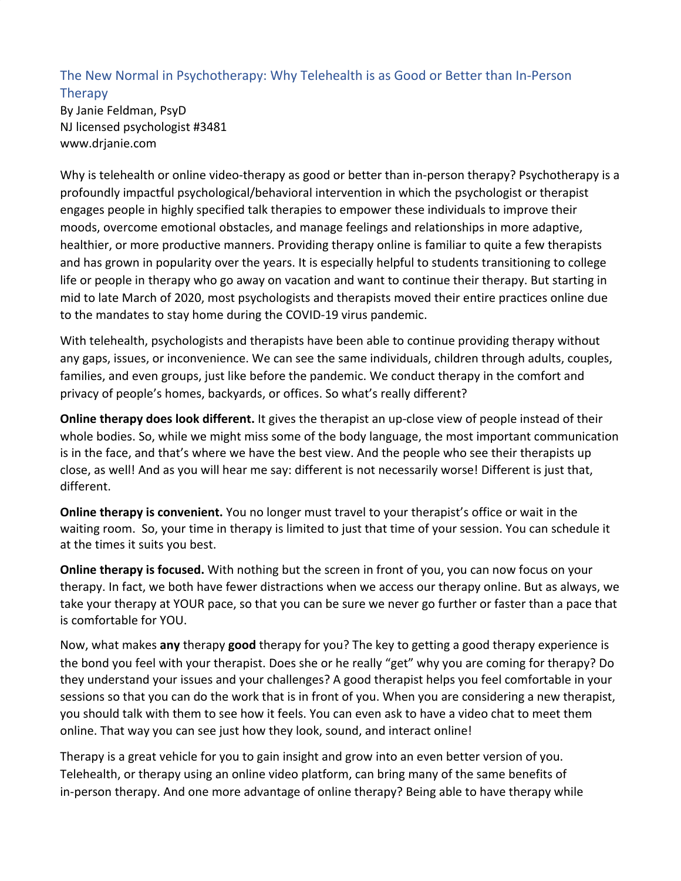## The New Normal in Psychotherapy: Why Telehealth is as Good or Better than In-Person **Therapy**

By Janie Feldman, PsyD NJ licensed psychologist #3481 www.drjanie.com

Why is telehealth or online video-therapy as good or better than in-person therapy? Psychotherapy is a profoundly impactful psychological/behavioral intervention in which the psychologist or therapist engages people in highly specified talk therapies to empower these individuals to improve their moods, overcome emotional obstacles, and manage feelings and relationships in more adaptive, healthier, or more productive manners. Providing therapy online is familiar to quite a few therapists and has grown in popularity over the years. It is especially helpful to students transitioning to college life or people in therapy who go away on vacation and want to continue their therapy. But starting in mid to late March of 2020, most psychologists and therapists moved their entire practices online due to the mandates to stay home during the COVID-19 virus pandemic.

With telehealth, psychologists and therapists have been able to continue providing therapy without any gaps, issues, or inconvenience. We can see the same individuals, children through adults, couples, families, and even groups, just like before the pandemic. We conduct therapy in the comfort and privacy of people's homes, backyards, or offices. So what's really different?

**Online therapy does look different.** It gives the therapist an up-close view of people instead of their whole bodies. So, while we might miss some of the body language, the most important communication is in the face, and that's where we have the best view. And the people who see their therapists up close, as well! And as you will hear me say: different is not necessarily worse! Different is just that, different.

**Online therapy is convenient.** You no longer must travel to your therapist's office or wait in the waiting room. So, your time in therapy is limited to just that time of your session. You can schedule it at the times it suits you best.

**Online therapy is focused.** With nothing but the screen in front of you, you can now focus on your therapy. In fact, we both have fewer distractions when we access our therapy online. But as always, we take your therapy at YOUR pace, so that you can be sure we never go further or faster than a pace that is comfortable for YOU.

Now, what makes **any** therapy **good** therapy for you? The key to getting a good therapy experience is the bond you feel with your therapist. Does she or he really "get" why you are coming for therapy? Do they understand your issues and your challenges? A good therapist helps you feel comfortable in your sessions so that you can do the work that is in front of you. When you are considering a new therapist, you should talk with them to see how it feels. You can even ask to have a video chat to meet them online. That way you can see just how they look, sound, and interact online!

Therapy is a great vehicle for you to gain insight and grow into an even better version of you. Telehealth, or therapy using an online video platform, can bring many of the same benefits of in-person therapy. And one more advantage of online therapy? Being able to have therapy while